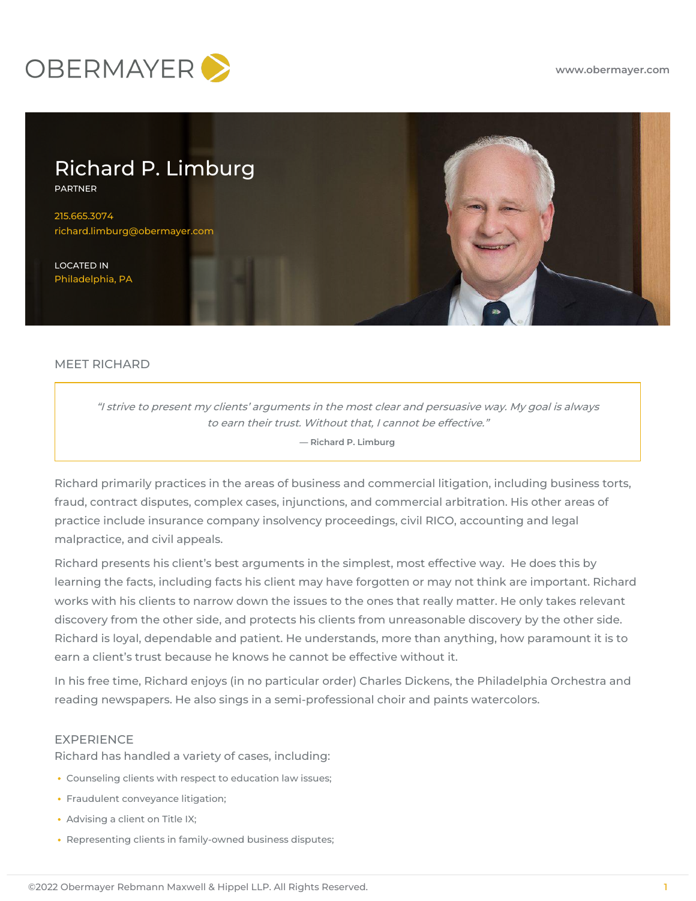



# MEET RICHARD

"I strive to present my clients' arguments in the most clear and persuasive way. My goal is always to earn their trust. Without that, I cannot be effective." **— Richard P. Limburg**

Richard primarily practices in the areas of business and commercial litigation, including business torts, fraud, contract disputes, complex cases, injunctions, and commercial arbitration. His other areas of practice include insurance company insolvency proceedings, civil RICO, accounting and legal malpractice, and civil appeals.

Richard presents his client's best arguments in the simplest, most effective way. He does this by learning the facts, including facts his client may have forgotten or may not think are important. Richard works with his clients to narrow down the issues to the ones that really matter. He only takes relevant discovery from the other side, and protects his clients from unreasonable discovery by the other side. Richard is loyal, dependable and patient. He understands, more than anything, how paramount it is to earn a client's trust because he knows he cannot be effective without it.

In his free time, Richard enjoys (in no particular order) Charles Dickens, the Philadelphia Orchestra and reading newspapers. He also sings in a semi-professional choir and paints watercolors.

## EXPERIENCE

Richard has handled a variety of cases, including:

- Counseling clients with respect to education law issues;
- Fraudulent conveyance litigation;
- Advising a client on Title IX;
- Representing clients in family-owned business disputes;